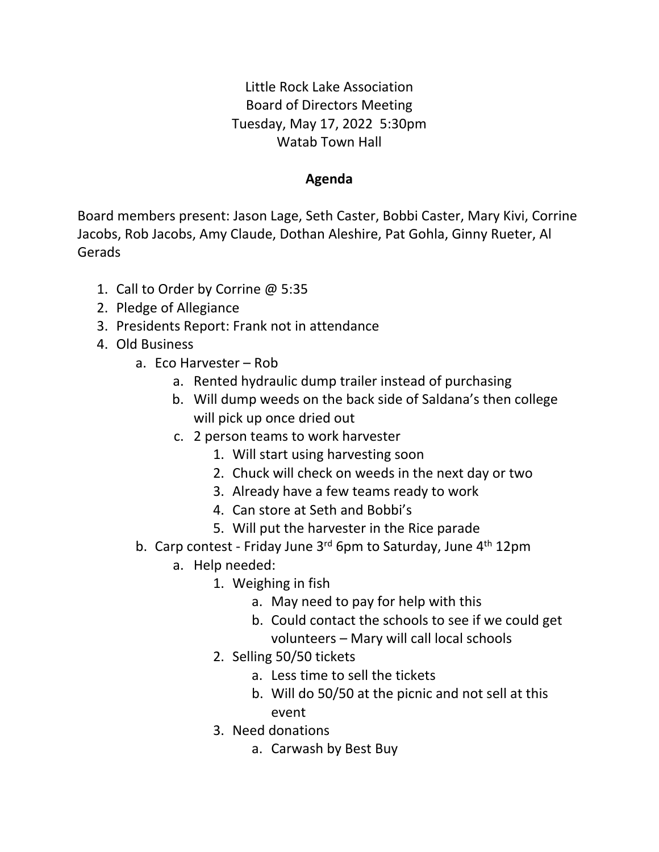Little Rock Lake Association Board of Directors Meeting Tuesday, May 17, 2022 5:30pm Watab Town Hall

## **Agenda**

Board members present: Jason Lage, Seth Caster, Bobbi Caster, Mary Kivi, Corrine Jacobs, Rob Jacobs, Amy Claude, Dothan Aleshire, Pat Gohla, Ginny Rueter, Al Gerads

- 1. Call to Order by Corrine @ 5:35
- 2. Pledge of Allegiance
- 3. Presidents Report: Frank not in attendance
- 4. Old Business
	- a. Eco Harvester Rob
		- a. Rented hydraulic dump trailer instead of purchasing
		- b. Will dump weeds on the back side of Saldana's then college will pick up once dried out
		- c. 2 person teams to work harvester
			- 1. Will start using harvesting soon
			- 2. Chuck will check on weeds in the next day or two
			- 3. Already have a few teams ready to work
			- 4. Can store at Seth and Bobbi's
			- 5. Will put the harvester in the Rice parade
	- b. Carp contest Friday June 3rd 6pm to Saturday, June 4<sup>th</sup> 12pm
		- a. Help needed:
			- 1. Weighing in fish
				- a. May need to pay for help with this
				- b. Could contact the schools to see if we could get volunteers – Mary will call local schools
			- 2. Selling 50/50 tickets
				- a. Less time to sell the tickets
				- b. Will do 50/50 at the picnic and not sell at this event
			- 3. Need donations
				- a. Carwash by Best Buy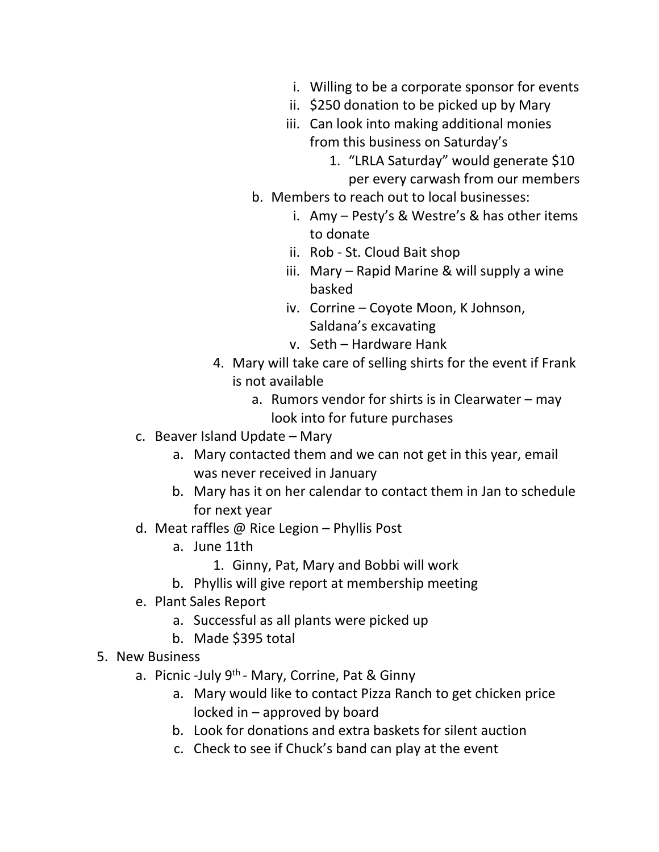- i. Willing to be a corporate sponsor for events
- ii. \$250 donation to be picked up by Mary
- iii. Can look into making additional monies from this business on Saturday's
	- 1. "LRLA Saturday" would generate \$10 per every carwash from our members
- b. Members to reach out to local businesses:
	- i. Amy Pesty's & Westre's & has other items to donate
	- ii. Rob St. Cloud Bait shop
	- iii. Mary Rapid Marine & will supply a wine basked
	- iv. Corrine Coyote Moon, K Johnson, Saldana's excavating
	- v. Seth Hardware Hank
- 4. Mary will take care of selling shirts for the event if Frank is not available
	- a. Rumors vendor for shirts is in Clearwater may look into for future purchases
- c. Beaver Island Update Mary
	- a. Mary contacted them and we can not get in this year, email was never received in January
	- b. Mary has it on her calendar to contact them in Jan to schedule for next year
- d. Meat raffles @ Rice Legion Phyllis Post
	- a. June 11th
		- 1. Ginny, Pat, Mary and Bobbi will work
	- b. Phyllis will give report at membership meeting
- e. Plant Sales Report
	- a. Successful as all plants were picked up
	- b. Made \$395 total
- 5. New Business
	- a. Picnic -July 9<sup>th</sup> Mary, Corrine, Pat & Ginny
		- a. Mary would like to contact Pizza Ranch to get chicken price locked in – approved by board
		- b. Look for donations and extra baskets for silent auction
		- c. Check to see if Chuck's band can play at the event